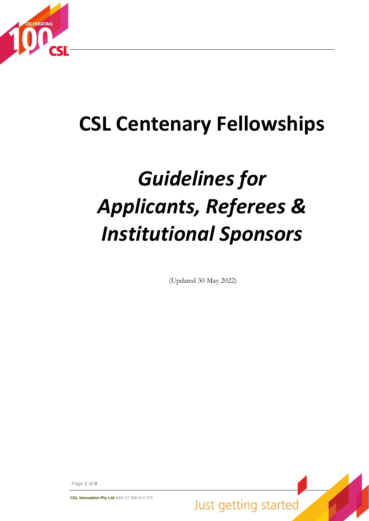

# **CSL Centenary Fellowships**

# *Guidelines for Applicants, Referees & Institutional Sponsors*

(Updated 30 May 2022)

Page **1** of **9**

**CSL Innovation Pty Ltd** ABN 37 006 614 375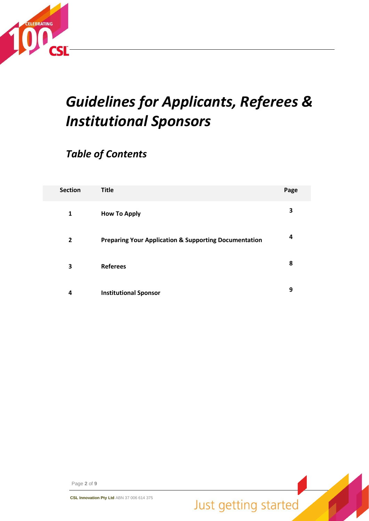

# *Guidelines for Applicants, Referees & Institutional Sponsors*

### *Table of Contents*

| <b>Section</b> | <b>Title</b>                                                     | Page |
|----------------|------------------------------------------------------------------|------|
| 1              | <b>How To Apply</b>                                              | 3    |
| 2              | <b>Preparing Your Application &amp; Supporting Documentation</b> | 4    |
| 3              | <b>Referees</b>                                                  | 8    |
| 4              | <b>Institutional Sponsor</b>                                     | 9    |

Page **2** of **9**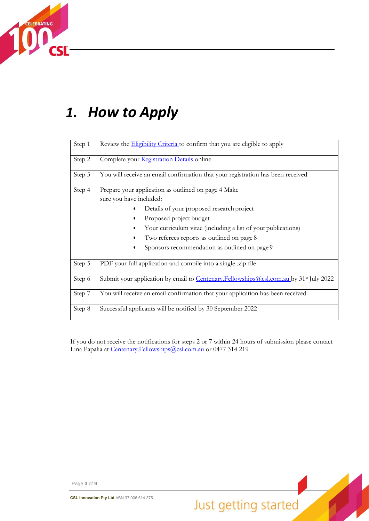

# *1. How to Apply*

| Step 1 | Review the <b>Eligibility Criteria</b> to confirm that you are eligible to apply                                                                                                                                                                                                                                       |
|--------|------------------------------------------------------------------------------------------------------------------------------------------------------------------------------------------------------------------------------------------------------------------------------------------------------------------------|
| Step 2 | Complete your Registration Details online                                                                                                                                                                                                                                                                              |
| Step 3 | You will receive an email confirmation that your registration has been received                                                                                                                                                                                                                                        |
| Step 4 | Prepare your application as outlined on page 4 Make<br>sure you have included:<br>Details of your proposed research project<br>Proposed project budget<br>Your curriculum vitae (including a list of your publications)<br>Two referees reports as outlined on page 8<br>Sponsors recommendation as outlined on page 9 |
| Step 5 | PDF your full application and compile into a single .zip file                                                                                                                                                                                                                                                          |
| Step 6 | Submit your application by email to Centenary.Fellowships@csl.com.au by 31 <sup>st</sup> July 2022                                                                                                                                                                                                                     |
| Step 7 | You will receive an email confirmation that your application has been received                                                                                                                                                                                                                                         |
| Step 8 | Successful applicants will be notified by 30 September 2022                                                                                                                                                                                                                                                            |

If you do not receive the notifications for steps 2 or 7 within 24 hours of submission please contact Lina Papalia at [Centenary.Fellowships@csl.com.au o](mailto:Centenary.Fellowships@csl.com.au)r 0477 314 219

Page **3** of **9**

**CSL Innovation Pty Ltd** ABN 37 006 614 375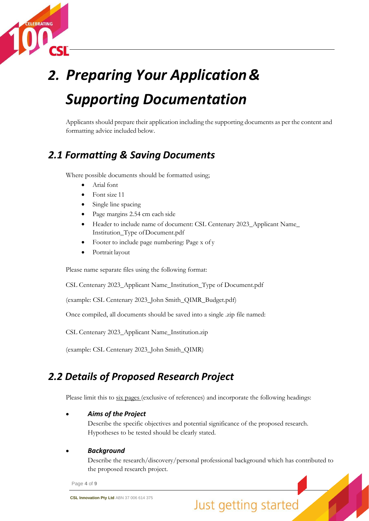

# *Supporting Documentation 2. Preparing Your Application&*

Applicants should prepare their application including the supporting documents as per the content and formatting advice included below.

### *2.1 Formatting & Saving Documents*

Where possible documents should be formatted using;

- Arial font
- Font size 11
- Single line spacing
- Page margins 2.54 cm each side
- Header to include name of document: CSL Centenary 2023\_Applicant Name\_ Institution\_Type ofDocument.pdf
- Footer to include page numbering: Page x of y
- Portrait layout

Please name separate files using the following format:

CSL Centenary 2023\_Applicant Name\_Institution\_Type of Document.pdf

(example: CSL Centenary 2023\_John Smith\_QIMR\_Budget.pdf)

Once compiled, all documents should be saved into a single .zip file named:

CSL Centenary 2023\_Applicant Name\_Institution.zip

(example: CSL Centenary 2023\_John Smith\_QIMR)

### *2.2 Details of Proposed Research Project*

Please limit this to six pages (exclusive of references) and incorporate the following headings:

#### • *Aims of the Project*

Describe the specific objectives and potential significance of the proposed research. Hypotheses to be tested should be clearly stated.

#### • *Background*

Describe the research/discovery/personal professional background which has contributed to the proposed research project.

Page **4** of **9**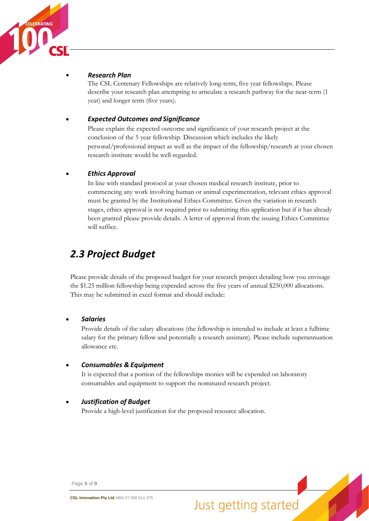

#### *Research Plan*

The CSL Centenary Fellowships are relatively long-term, five year fellowships. Please describe your research plan attempting to articulate a research pathway for the near-term (1 year) and longer term (five years).

### • *Expected Outcomes and Significance*

Please explain the expected outcome and significance of your research project at the conclusion of the 5 year fellowship. Discussion which includes the likely personal/professional impact as well as the impact of the fellowship/research at your chosen research institute would be well-regarded.

### • *Ethics Approval*

In line with standard protocol at your chosen medical research institute, prior to commencing any work involving human or animal experimentation, relevant ethics approval must be granted by the Institutional Ethics Committee. Given the variation in research stages, ethics approval is not required prior to submitting this application but if it has already been granted please provide details. A letter of approval from the issuing Ethics Committee will suffice.

### *2.3 Project Budget*

Please provide details of the proposed budget for your research project detailing how you envisage the \$1.25 million fellowship being expended across the five years of annual \$250,000 allocations. This may be submitted in excel format and should include:

#### • *Salaries*

Provide details of the salary allocations (the fellowship is intended to include at least a fulltime salary for the primary fellow and potentially a research assistant). Please include superannuation allowance etc.

#### • *Consumables & Equipment*

It is expected that a portion of the fellowships monies will be expended on laboratory consumables and equipment to support the nominated research project.

#### • *Justification of Budget*

Provide a high-level justification for the proposed resource allocation.

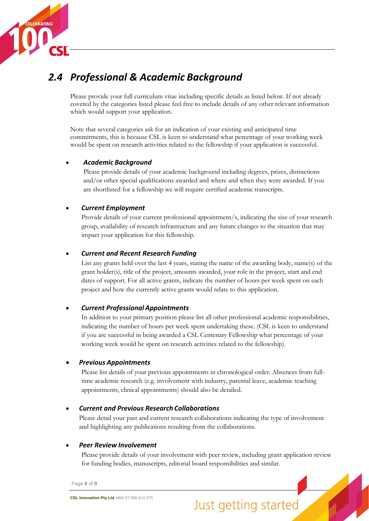

### *2.4 Professional & Academic Background*

Please provide your full curriculum vitae including specific details as listed below. If not already covered by the categories listed please feel free to include details of any other relevant information which would support your application.

Note that several categories ask for an indication of your existing and anticipated time commitments, this is because CSL is keen to understand what percentage of your working week would be spent on research activities related to the fellowship if your application is successful.

### • *Academic Background*

Please provide details of your academic background including degrees, prizes, distinctions and/or other special qualifications awarded and where and when they were awarded. If you are shortlisted for a fellowship we will require certified academic transcripts.

### • *Current Employment*

Provide details of your current professional appointment/s, indicating the size of your research group, availability of research infrastructure and any future changes to the situation that may impact your application for this fellowship.

### • *Current and Recent Research Funding*

List any grants held over the last 4 years, stating the name of the awarding body, name(s) of the grant holder(s), title of the project, amounts awarded, your role in the project, start and end dates of support. For all active grants, indicate the number of hours per week spent on each project and how the currently active grants would relate to this application.

### • *Current Professional Appointments*

In addition to your primary position please list all other professional academic responsibilities, indicating the number of hours per week spent undertaking these. (CSL is keen to understand if you are successful in being awarded a CSL Centenary Fellowship what percentage of your working week would be spent on research activities related to the fellowship).

### • *Previous Appointments*

Please list details of your previous appointments in chronological order. Absences from fulltime academic research (e.g. involvement with industry, parental leave, academic teaching appointments, clinical appointments) should also be detailed.

### • *Current and Previous Research Collaborations*

Please detail your past and current research collaborations indicating the type of involvement and highlighting any publications resulting from the collaborations.

### • *Peer Review Involvement*

Please provide details of your involvement with peer review, including grant application review for funding bodies, manuscripts, editorial board responsibilities and similar.

Page **6** of **9**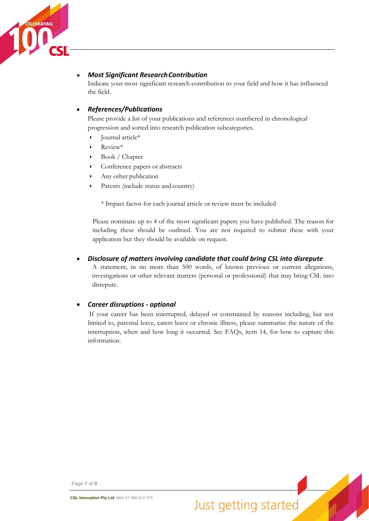

### *Most Significant ResearchContribution*

Indicate your most significant research contribution to your field and how it has influenced the field.

### • *References/Publications*

Please provide a list of your publications and references numbered in chronological progression and sorted into research publication subcategories.

- Journal article\*
- Review\*
- Book / Chapter
- Conference papers or abstracts
- Any other publication
- Patents (include status and country)

\* Impact factor for each journal article or review must be included

Please nominate up to 4 of the most significant papers you have published. The reason for including these should be outlined. You are not required to submit these with your application but they should be available on request.

### • *Disclosure of matters involving candidate that could bring CSL into disrepute*

A statement, in no more than 500 words, of known previous or current allegations, investigations or other relevant matters (personal or professional) that may bring CSL into disrepute.

#### • *Career disruptions - optional*

If your career has been interrupted, delayed or constrained by reasons including, but not limited to, parental leave, carers leave or chronic illness, please summarise the nature of the interruption, when and how long it occurred. See FAQs, item 14, for how to capture this information.

Page **7** of **9**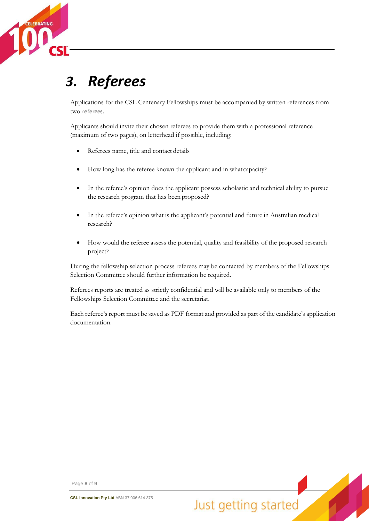

# *3. Referees*

Applications for the CSL Centenary Fellowships must be accompanied by written references from two referees.

Applicants should invite their chosen referees to provide them with a professional reference (maximum of two pages), on letterhead if possible, including:

- Referees name, title and contact details
- How long has the referee known the applicant and in whatcapacity?
- In the referee's opinion does the applicant possess scholastic and technical ability to pursue the research program that has been proposed?
- In the referee's opinion what is the applicant's potential and future in Australian medical research?
- How would the referee assess the potential, quality and feasibility of the proposed research project?

During the fellowship selection process referees may be contacted by members of the Fellowships Selection Committee should further information be required.

Referees reports are treated as strictly confidential and will be available only to members of the Fellowships Selection Committee and the secretariat.

Each referee's report must be saved as PDF format and provided as part of the candidate's application documentation.

Page **8** of **9**